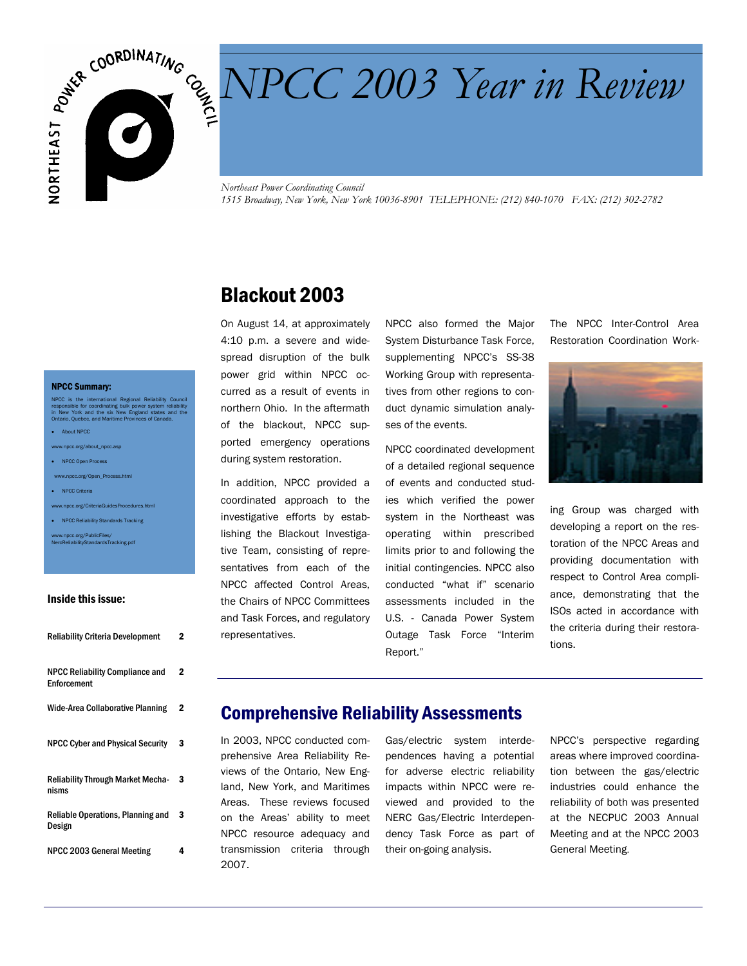

# NPCC 2003 Year in Review *NPCC 2003 Year in Review*

*Northeast Power Coordinating Council 1515 Broadway, New York, New York 10036-8901 TELEPHONE: (212) 840-1070 FAX: (212) 302-2782* 

### Blackout 2003

On August 14, at approximately 4:10 p.m. a severe and widespread disruption of the bulk power grid within NPCC occurred as a result of events in northern Ohio. In the aftermath of the blackout, NPCC supported emergency operations during system restoration.

In addition, NPCC provided a coordinated approach to the investigative efforts by establishing the Blackout Investigative Team, consisting of representatives from each of the NPCC affected Control Areas, the Chairs of NPCC Committees and Task Forces, and regulatory representatives.

NPCC also formed the Major System Disturbance Task Force, supplementing NPCC's SS-38 Working Group with representatives from other regions to conduct dynamic simulation analyses of the events.

NPCC coordinated development of a detailed regional sequence of events and conducted studies which verified the power system in the Northeast was operating within prescribed limits prior to and following the initial contingencies. NPCC also conducted "what if" scenario assessments included in the U.S. - Canada Power System Outage Task Force "Interim Report."

The NPCC Inter-Control Area Restoration Coordination Work-



ing Group was charged with developing a report on the restoration of the NPCC Areas and providing documentation with respect to Control Area compliance, demonstrating that the ISOs acted in accordance with the criteria during their restorations.

## Comprehensive Reliability Assessments

In 2003, NPCC conducted comprehensive Area Reliability Reviews of the Ontario, New England, New York, and Maritimes Areas. These reviews focused on the Areas' ability to meet NPCC resource adequacy and transmission criteria through 2007.

Gas/electric system interdependences having a potential for adverse electric reliability impacts within NPCC were reviewed and provided to the NERC Gas/Electric Interdependency Task Force as part of their on-going analysis.

NPCC's perspective regarding areas where improved coordination between the gas/electric industries could enhance the reliability of both was presented at the NECPUC 2003 Annual Meeting and at the NPCC 2003 General Meeting.

#### NPCC Summary:

NPCC is the international Regional Reliability Council responsible for coordinating bulk power system reliability in New York and the six New England states and the Ontario, Quebec, and Maritime Provinces of Canada.

- About NPCC
- c.org/about\_npcc.asp
- NPCC Open Process
- c.org/Open\_Process.html
- NPCC Criteria
- ww.org/CriteriaGuidesProce • NPCC Reliability Standards Tracking

www.npcc.org/PublicFiles/ NercReliabilityStandardsTracking.pdf

#### Inside this issue:

| <b>Reliability Criteria Development</b>               | 2 |
|-------------------------------------------------------|---|
| <b>NPCC Reliability Compliance and</b><br>Enforcement | 2 |
| <b>Wide-Area Collaborative Planning</b>               | 2 |
| <b>NPCC Cyber and Physical Security</b>               | 3 |
| <b>Reliability Through Market Mecha-</b><br>nisms     | 3 |
| Reliable Operations, Planning and<br>Design           | 3 |
| NPCC 2003 General Meeting                             | 4 |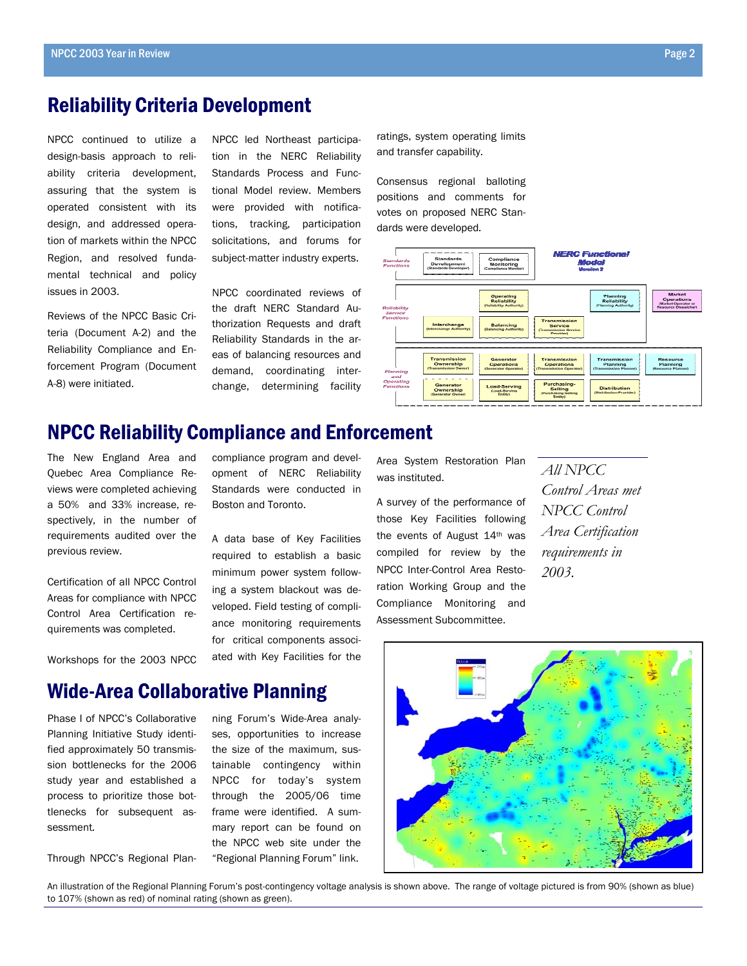#### Reliability Criteria Development

NPCC continued to utilize a design-basis approach to reliability criteria development, assuring that the system is operated consistent with its design, and addressed operation of markets within the NPCC Region, and resolved fundamental technical and policy issues in 2003.

Reviews of the NPCC Basic Criteria (Document A-2) and the Reliability Compliance and Enforcement Program (Document A-8) were initiated.

NPCC led Northeast participation in the NERC Reliability Standards Process and Functional Model review. Members were provided with notifications, tracking, participation solicitations, and forums for subject-matter industry experts.

NPCC coordinated reviews of the draft NERC Standard Authorization Requests and draft Reliability Standards in the areas of balancing resources and demand, coordinating interchange, determining facility ratings, system operating limits and transfer capability.

Consensus regional balloting positions and comments for votes on proposed NERC Standards were developed*.* 



#### NPCC Reliability Compliance and Enforcement

The New England Area and Quebec Area Compliance Reviews were completed achieving a 50% and 33% increase, respectively, in the number of requirements audited over the previous review.

Certification of all NPCC Control Areas for compliance with NPCC Control Area Certification requirements was completed.

Workshops for the 2003 NPCC

compliance program and development of NERC Reliability Standards were conducted in Boston and Toronto.

A data base of Key Facilities required to establish a basic minimum power system following a system blackout was developed. Field testing of compliance monitoring requirements for critical components associated with Key Facilities for the

Area System Restoration Plan was instituted.

A survey of the performance of those Key Facilities following the events of August 14th was compiled for review by the NPCC Inter-Control Area Restoration Working Group and the Compliance Monitoring and Assessment Subcommittee.

*All NPCC Control Areas met NPCC Control Area Certification requirements in 2003.* 



Phase I of NPCC's Collaborative Planning Initiative Study identified approximately 50 transmission bottlenecks for the 2006 study year and established a process to prioritize those bottlenecks for subsequent assessment*.* 

Through NPCC's Regional Plan-

ning Forum's Wide-Area analyses, opportunities to increase the size of the maximum, sustainable contingency within NPCC for today's system through the 2005/06 time frame were identified. A summary report can be found on the NPCC web site under the "Regional Planning Forum" link.



An illustration of the Regional Planning Forum's post-contingency voltage analysis is shown above. The range of voltage pictured is from 90% (shown as blue) to 107% (shown as red) of nominal rating (shown as green).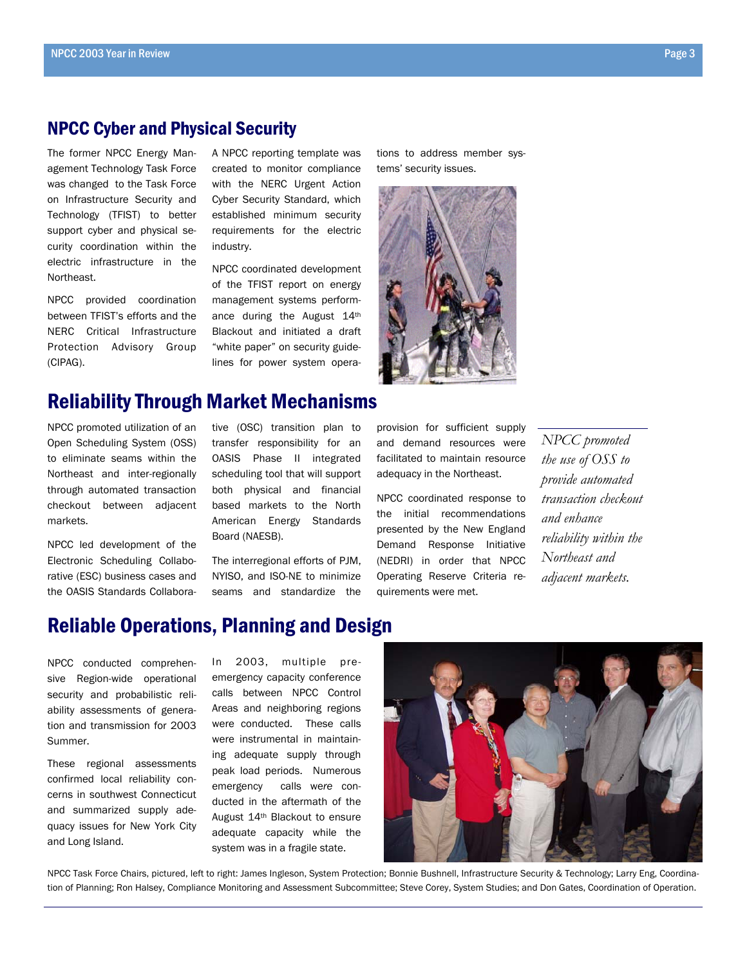#### NPCC Cyber and Physical Security

The former NPCC Energy Management Technology Task Force was changed to the Task Force on Infrastructure Security and Technology (TFIST) to better support cyber and physical security coordination within the electric infrastructure in the Northeast.

NPCC provided coordination between TFIST's efforts and the NERC Critical Infrastructure Protection Advisory Group (CIPAG).

A NPCC reporting template was created to monitor compliance with the NERC Urgent Action Cyber Security Standard, which established minimum security requirements for the electric industry.

NPCC coordinated development of the TFIST report on energy management systems performance during the August 14th Blackout and initiated a draft "white paper" on security guidelines for power system opera-

#### Reliability Through Market Mechanisms

NPCC promoted utilization of an Open Scheduling System (OSS) to eliminate seams within the Northeast and inter-regionally through automated transaction checkout between adjacent markets.

NPCC led development of the Electronic Scheduling Collaborative (ESC) business cases and the OASIS Standards Collabora-

tive (OSC) transition plan to transfer responsibility for an OASIS Phase II integrated scheduling tool that will support both physical and financial based markets to the North American Energy Standards Board (NAESB).

The interregional efforts of PJM, NYISO, and ISO-NE to minimize seams and standardize the tions to address member systems' security issues.



provision for sufficient supply and demand resources were facilitated to maintain resource adequacy in the Northeast.

NPCC coordinated response to the initial recommendations presented by the New England Demand Response Initiative (NEDRI) in order that NPCC Operating Reserve Criteria requirements were met.

*NPCC promoted the use of OSS to provide automated transaction checkout and enhance reliability within the Northeast and adjacent markets.* 

## Reliable Operations, Planning and Design

NPCC conducted comprehensive Region-wide operational security and probabilistic reliability assessments of generation and transmission for 2003 Summer.

These regional assessments confirmed local reliability concerns in southwest Connecticut and summarized supply adequacy issues for New York City and Long Island.

In 2003, multiple preemergency capacity conference calls between NPCC Control Areas and neighboring regions were conducted. These calls were instrumental in maintaining adequate supply through peak load periods. Numerous emergency calls we*re* conducted in the aftermath of the August 14th Blackout to ensure adequate capacity while the system was in a fragile state.



NPCC Task Force Chairs, pictured, left to right: James Ingleson, System Protection; Bonnie Bushnell, Infrastructure Security & Technology; Larry Eng, Coordination of Planning; Ron Halsey, Compliance Monitoring and Assessment Subcommittee; Steve Corey, System Studies; and Don Gates, Coordination of Operation.